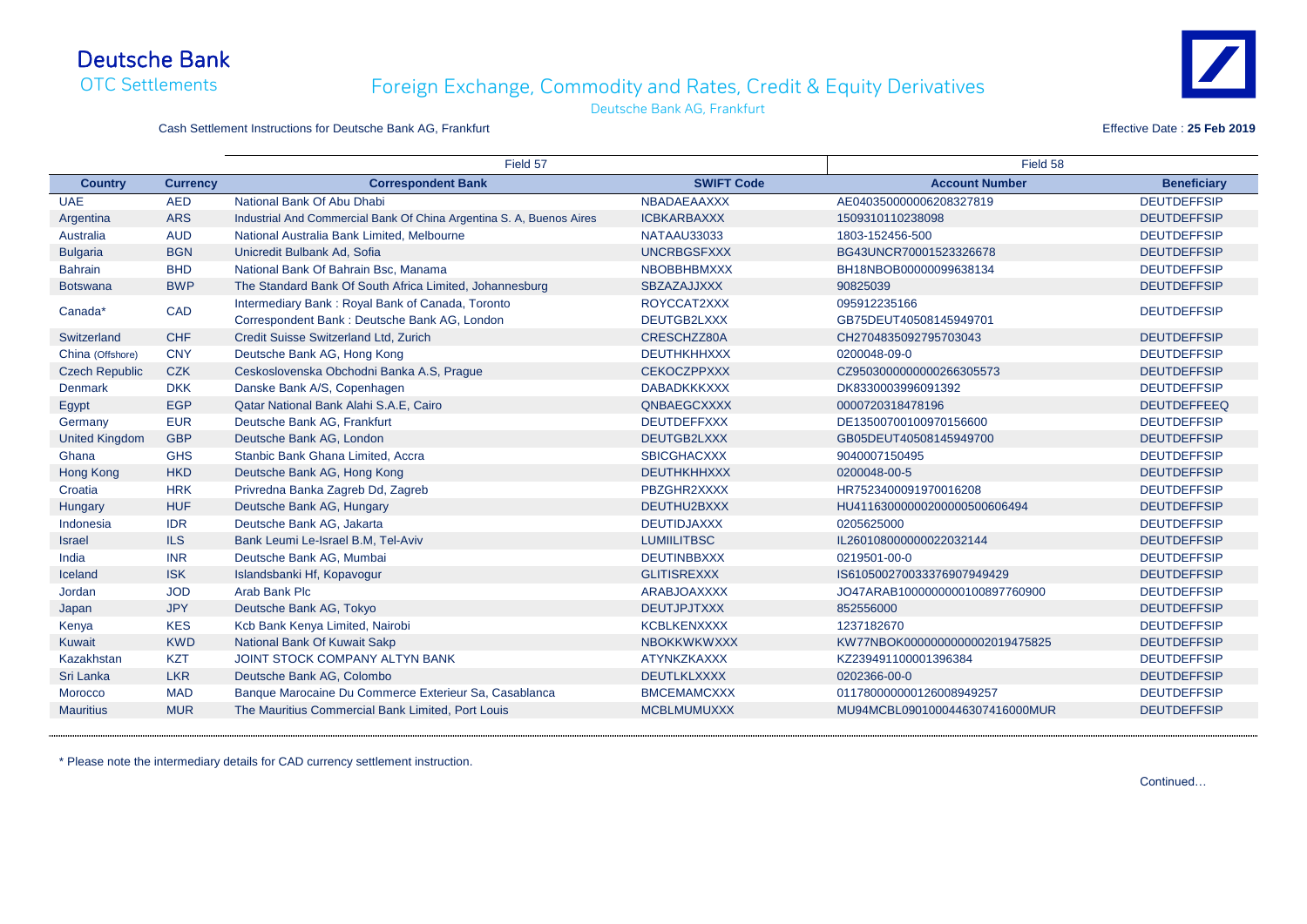## Deutsche Bank OTC Settlements

|                       |                 | Field 57                                                             |                    | Field 58                       |                    |
|-----------------------|-----------------|----------------------------------------------------------------------|--------------------|--------------------------------|--------------------|
| <b>Country</b>        | <b>Currency</b> | <b>Correspondent Bank</b>                                            | <b>SWIFT Code</b>  | <b>Account Number</b>          | <b>Beneficiary</b> |
| <b>UAE</b>            | <b>AED</b>      | National Bank Of Abu Dhabi                                           | NBADAEAAXXX        | AE040350000006208327819        | <b>DEUTDEFFSIP</b> |
| Argentina             | <b>ARS</b>      | Industrial And Commercial Bank Of China Argentina S. A, Buenos Aires | <b>ICBKARBAXXX</b> | 1509310110238098               | <b>DEUTDEFFSIP</b> |
| Australia             | <b>AUD</b>      | National Australia Bank Limited, Melbourne                           | NATAAU33033        | 1803-152456-500                | <b>DEUTDEFFSIP</b> |
| <b>Bulgaria</b>       | <b>BGN</b>      | Unicredit Bulbank Ad, Sofia                                          | <b>UNCRBGSFXXX</b> | BG43UNCR70001523326678         | <b>DEUTDEFFSIP</b> |
| <b>Bahrain</b>        | <b>BHD</b>      | National Bank Of Bahrain Bsc, Manama                                 | <b>NBOBBHBMXXX</b> | BH18NBOB00000099638134         | <b>DEUTDEFFSIP</b> |
| <b>Botswana</b>       | <b>BWP</b>      | The Standard Bank Of South Africa Limited, Johannesburg              | <b>SBZAZAJJXXX</b> | 90825039                       | <b>DEUTDEFFSIP</b> |
| Canada*               | <b>CAD</b>      | Intermediary Bank: Royal Bank of Canada, Toronto                     | ROYCCAT2XXX        | 095912235166                   | <b>DEUTDEFFSIP</b> |
|                       |                 | Correspondent Bank: Deutsche Bank AG, London                         | DEUTGB2LXXX        | GB75DEUT40508145949701         |                    |
| Switzerland           | <b>CHF</b>      | Credit Suisse Switzerland Ltd, Zurich                                | CRESCHZZ80A        | CH2704835092795703043          | <b>DEUTDEFFSIP</b> |
| China (Offshore)      | <b>CNY</b>      | Deutsche Bank AG, Hong Kong                                          | <b>DEUTHKHHXXX</b> | 0200048-09-0                   | <b>DEUTDEFFSIP</b> |
| <b>Czech Republic</b> | <b>CZK</b>      | Ceskoslovenska Obchodni Banka A.S, Prague                            | <b>CEKOCZPPXXX</b> | CZ9503000000000266305573       | <b>DEUTDEFFSIP</b> |
| <b>Denmark</b>        | <b>DKK</b>      | Danske Bank A/S, Copenhagen                                          | <b>DABADKKKXXX</b> | DK8330003996091392             | <b>DEUTDEFFSIP</b> |
| Egypt                 | <b>EGP</b>      | Qatar National Bank Alahi S.A.E, Cairo                               | QNBAEGCXXXX        | 0000720318478196               | <b>DEUTDEFFEEQ</b> |
| Germany               | <b>EUR</b>      | Deutsche Bank AG, Frankfurt                                          | <b>DEUTDEFFXXX</b> | DE13500700100970156600         | <b>DEUTDEFFSIP</b> |
| <b>United Kingdom</b> | <b>GBP</b>      | Deutsche Bank AG, London                                             | DEUTGB2LXXX        | GB05DEUT40508145949700         | <b>DEUTDEFFSIP</b> |
| Ghana                 | <b>GHS</b>      | Stanbic Bank Ghana Limited, Accra                                    | <b>SBICGHACXXX</b> | 9040007150495                  | <b>DEUTDEFFSIP</b> |
| Hong Kong             | <b>HKD</b>      | Deutsche Bank AG, Hong Kong                                          | <b>DEUTHKHHXXX</b> | 0200048-00-5                   | <b>DEUTDEFFSIP</b> |
| Croatia               | <b>HRK</b>      | Privredna Banka Zagreb Dd, Zagreb                                    | PBZGHR2XXXX        | HR7523400091970016208          | <b>DEUTDEFFSIP</b> |
| Hungary               | <b>HUF</b>      | Deutsche Bank AG, Hungary                                            | DEUTHU2BXXX        | HU41163000000200000500606494   | <b>DEUTDEFFSIP</b> |
| Indonesia             | <b>IDR</b>      | Deutsche Bank AG, Jakarta                                            | <b>DEUTIDJAXXX</b> | 0205625000                     | <b>DEUTDEFFSIP</b> |
| <b>Israel</b>         | <b>ILS</b>      | Bank Leumi Le-Israel B.M, Tel-Aviv                                   | <b>LUMIILITBSC</b> | IL260108000000022032144        | <b>DEUTDEFFSIP</b> |
| India                 | <b>INR</b>      | Deutsche Bank AG, Mumbai                                             | <b>DEUTINBBXXX</b> | 0219501-00-0                   | <b>DEUTDEFFSIP</b> |
| Iceland               | <b>ISK</b>      | Islandsbanki Hf, Kopavogur                                           | <b>GLITISREXXX</b> | IS610500270033376907949429     | <b>DEUTDEFFSIP</b> |
| Jordan                | <b>JOD</b>      | Arab Bank Plc                                                        | <b>ARABJOAXXXX</b> | JO47ARAB1000000000100897760900 | <b>DEUTDEFFSIP</b> |
| Japan                 | <b>JPY</b>      | Deutsche Bank AG, Tokyo                                              | <b>DEUTJPJTXXX</b> | 852556000                      | <b>DEUTDEFFSIP</b> |
| Kenya                 | <b>KES</b>      | Kcb Bank Kenya Limited, Nairobi                                      | <b>KCBLKENXXXX</b> | 1237182670                     | <b>DEUTDEFFSIP</b> |
| <b>Kuwait</b>         | <b>KWD</b>      | National Bank Of Kuwait Sakp                                         | <b>NBOKKWKWXXX</b> | KW77NBOK0000000000002019475825 | <b>DEUTDEFFSIP</b> |
| <b>Kazakhstan</b>     | <b>KZT</b>      | <b>JOINT STOCK COMPANY ALTYN BANK</b>                                | <b>ATYNKZKAXXX</b> | KZ239491100001396384           | <b>DEUTDEFFSIP</b> |
| Sri Lanka             | <b>LKR</b>      | Deutsche Bank AG, Colombo                                            | <b>DEUTLKLXXXX</b> | 0202366-00-0                   | <b>DEUTDEFFSIP</b> |
| Morocco               | <b>MAD</b>      | Banque Marocaine Du Commerce Exterieur Sa, Casablanca                | <b>BMCEMAMCXXX</b> | 011780000000126008949257       | <b>DEUTDEFFSIP</b> |
| <b>Mauritius</b>      | <b>MUR</b>      | The Mauritius Commercial Bank Limited, Port Louis                    | <b>MCBLMUMUXXX</b> | MU94MCBL0901000446307416000MUR | <b>DEUTDEFFSIP</b> |

\* Please note the intermediary details for CAD currency settlement instruction.





Continued…

## Foreign Exchange, Commodity and Rates, Credit & Equity Derivatives

Deutsche Bank AG, Frankfurt

Cash Settlement Instructions for Deutsche Bank AG, Frankfurt **Effective Date : 25 Feb 2019** Effective Date : 25 Feb 2019